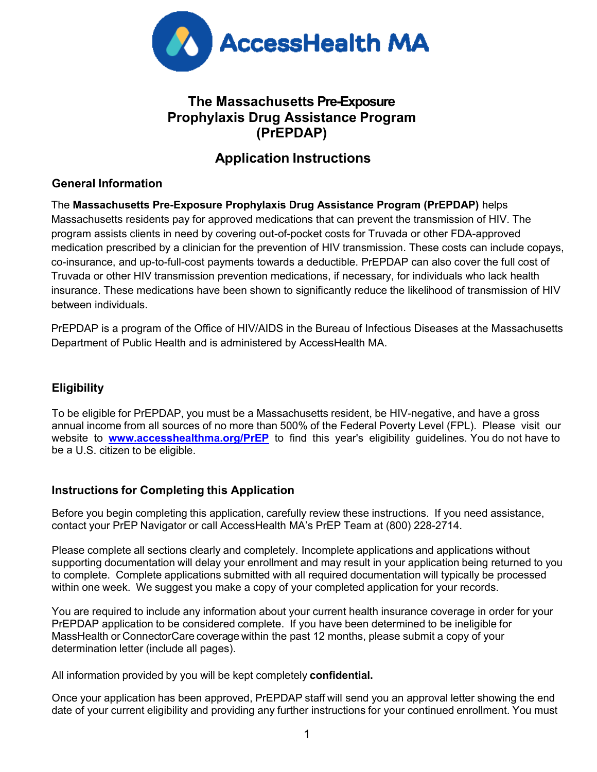

## **The Massachusetts Pre-Exposure Prophylaxis Drug Assistance Program (PrEPDAP)**

# **Application Instructions**

## **General Information**

The **Massachusetts Pre-Exposure Prophylaxis Drug Assistance Program (PrEPDAP)** helps Massachusetts residents pay for approved medications that can prevent the transmission of HIV. The program assists clients in need by covering out-of-pocket costs for Truvada or other FDA-approved medication prescribed by a clinician for the prevention of HIV transmission. These costs can include copays, co-insurance, and up-to-full-cost payments towards a deductible. PrEPDAP can also cover the full cost of Truvada or other HIV transmission prevention medications, if necessary, for individuals who lack health insurance. These medications have been shown to significantly reduce the likelihood of transmission of HIV between individuals.

PrEPDAP is a program of the Office of HIV/AIDS in the Bureau of Infectious Diseases at the Massachusetts Department of Public Health and is administered by AccessHealth MA.

### **Eligibility**

To be eligible for PrEPDAP, you must be a Massachusetts resident, be HIV-negative, and have a gross annual income from all sources of no more than 500% of the Federal Poverty Level (FPL). Please visit our website to **<www.accesshealthma.org/PrEP>**to find this year's eligibility guidelines. You do not have to be a U.S. citizen to be eligible.

### **Instructions for Completing this Application**

Before you begin completing this application, carefully review these instructions. If you need assistance, contact your PrEP Navigator or call AccessHealth MA's PrEP Team at (800) 228-2714.

Please complete all sections clearly and completely. Incomplete applications and applications without supporting documentation will delay your enrollment and may result in your application being returned to you to complete. Complete applications submitted with all required documentation will typically be processed within one week. We suggest you make a copy of your completed application for your records.

You are required to include any information about your current health insurance coverage in order for your PrEPDAP application to be considered complete. If you have been determined to be ineligible for MassHealth or ConnectorCare coverage within the past 12 months, please submit a copy of your determination letter (include all pages).

All information provided by you will be kept completely **confidential.**

Once your application has been approved, PrEPDAP staff will send you an approval letter showing the end date of your current eligibility and providing any further instructions for your continued enrollment. You must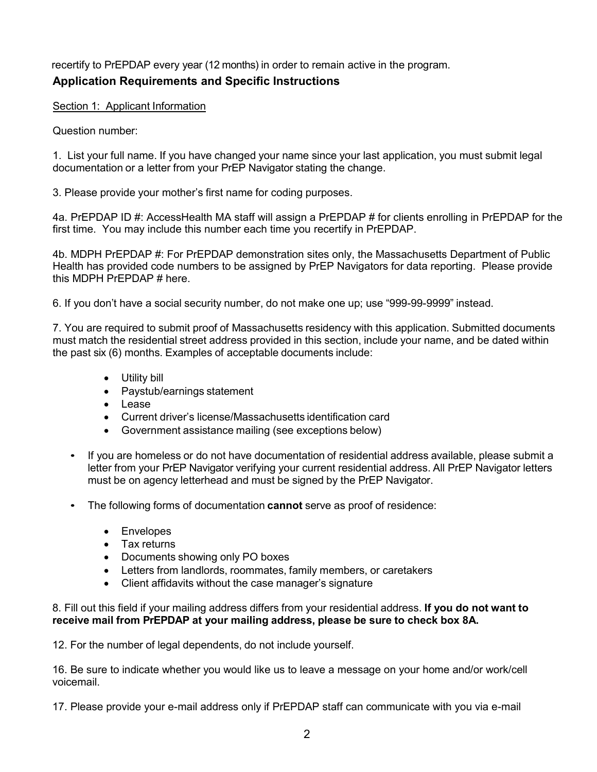recertify to PrEPDAP every year (12 months) in order to remain active in the program.

### **Application Requirements and Specific Instructions**

Section 1: Applicant Information

Question number:

1. List your full name. If you have changed your name since your last application, you must submit legal documentation or a letter from your PrEP Navigator stating the change.

3. Please provide your mother's first name for coding purposes.

4a. PrEPDAP ID #: AccessHealth MA staff will assign a PrEPDAP # for clients enrolling in PrEPDAP for the first time. You may include this number each time you recertify in PrEPDAP.

4b. MDPH PrEPDAP #: For PrEPDAP demonstration sites only, the Massachusetts Department of Public Health has provided code numbers to be assigned by PrEP Navigators for data reporting. Please provide this MDPH PrEPDAP # here.

6. If you don't have a social security number, do not make one up; use "999-99-9999" instead.

7. You are required to submit proof of Massachusetts residency with this application. Submitted documents must match the residential street address provided in this section, include your name, and be dated within the past six (6) months. Examples of acceptable documents include:

- Utility bill
- Paystub/earnings statement
- Lease
- Current driver's license/Massachusetts identification card
- Government assistance mailing (see exceptions below)
- If you are homeless or do not have documentation of residential address available, please submit a letter from your PrEP Navigator verifying your current residential address. All PrEP Navigator letters must be on agency letterhead and must be signed by the PrEP Navigator.
- The following forms of documentation **cannot** serve as proof of residence:
	- Envelopes
	- Tax returns
	- Documents showing only PO boxes
	- Letters from landlords, roommates, family members, or caretakers
	- Client affidavits without the case manager's signature

8. Fill out this field if your mailing address differs from your residential address. **If you do not want to receive mail from PrEPDAP at your mailing address, please be sure to check box 8A.**

12. For the number of legal dependents, do not include yourself.

16. Be sure to indicate whether you would like us to leave a message on your home and/or work/cell voicemail.

17. Please provide your e-mail address only if PrEPDAP staff can communicate with you via e-mail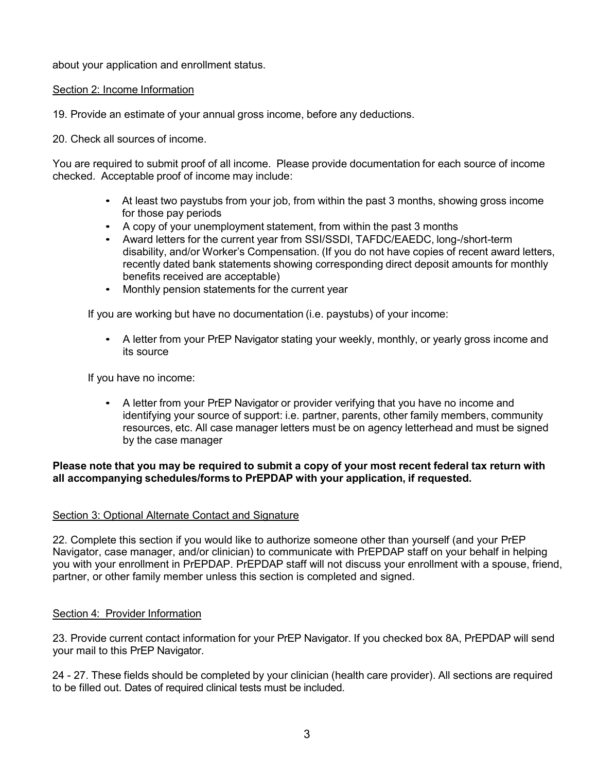about your application and enrollment status.

### Section 2: Income Information

19. Provide an estimate of your annual gross income, before any deductions.

20. Check all sources of income.

You are required to submit proof of all income. Please provide documentation for each source of income checked. Acceptable proof of income may include:

- At least two paystubs from your job, from within the past 3 months, showing gross income for those pay periods
- A copy of your unemployment statement, from within the past 3 months
- Award letters for the current year from SSI/SSDI, TAFDC/EAEDC, long-/short-term disability, and/or Worker's Compensation. (If you do not have copies of recent award letters, recently dated bank statements showing corresponding direct deposit amounts for monthly benefits received are acceptable)
- Monthly pension statements for the current year

If you are working but have no documentation (i.e. paystubs) of your income:

• A letter from your PrEP Navigator stating your weekly, monthly, or yearly gross income and its source

If you have no income:

• A letter from your PrEP Navigator or provider verifying that you have no income and identifying your source of support: i.e. partner, parents, other family members, community resources, etc. All case manager letters must be on agency letterhead and must be signed by the case manager

#### **Please note that you may be required to submit a copy of your most recent federal tax return with all accompanying schedules/forms to PrEPDAP with your application, if requested.**

#### Section 3: Optional Alternate Contact and Signature

22. Complete this section if you would like to authorize someone other than yourself (and your PrEP Navigator, case manager, and/or clinician) to communicate with PrEPDAP staff on your behalf in helping you with your enrollment in PrEPDAP. PrEPDAP staff will not discuss your enrollment with a spouse, friend, partner, or other family member unless this section is completed and signed.

#### Section 4: Provider Information

23. Provide current contact information for your PrEP Navigator. If you checked box 8A, PrEPDAP will send your mail to this PrEP Navigator.

24 - 27. These fields should be completed by your clinician (health care provider). All sections are required to be filled out. Dates of required clinical tests must be included.